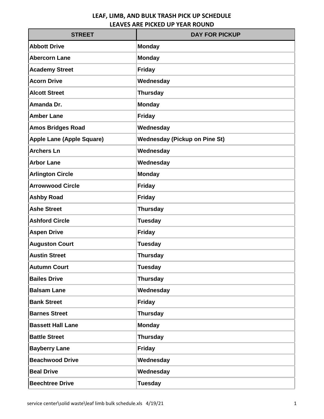| <b>STREET</b>                    | <b>DAY FOR PICKUP</b>                |
|----------------------------------|--------------------------------------|
| <b>Abbott Drive</b>              | <b>Monday</b>                        |
| <b>Abercorn Lane</b>             | <b>Monday</b>                        |
| <b>Academy Street</b>            | <b>Friday</b>                        |
| <b>Acorn Drive</b>               | Wednesday                            |
| <b>Alcott Street</b>             | <b>Thursday</b>                      |
| Amanda Dr.                       | <b>Monday</b>                        |
| <b>Amber Lane</b>                | <b>Friday</b>                        |
| <b>Amos Bridges Road</b>         | Wednesday                            |
| <b>Apple Lane (Apple Square)</b> | <b>Wednesday (Pickup on Pine St)</b> |
| <b>Archers Ln</b>                | Wednesday                            |
| <b>Arbor Lane</b>                | Wednesday                            |
| <b>Arlington Circle</b>          | <b>Monday</b>                        |
| <b>Arrowwood Circle</b>          | <b>Friday</b>                        |
| <b>Ashby Road</b>                | <b>Friday</b>                        |
| <b>Ashe Street</b>               | <b>Thursday</b>                      |
| <b>Ashford Circle</b>            | <b>Tuesday</b>                       |
| <b>Aspen Drive</b>               | <b>Friday</b>                        |
| <b>Auguston Court</b>            | <b>Tuesday</b>                       |
| <b>Austin Street</b>             | <b>Thursday</b>                      |
| <b>Autumn Court</b>              | <b>Tuesday</b>                       |
| <b>Bailes Drive</b>              | <b>Thursday</b>                      |
| <b>Balsam Lane</b>               | Wednesday                            |
| <b>Bank Street</b>               | <b>Friday</b>                        |
| <b>Barnes Street</b>             | <b>Thursday</b>                      |
| <b>Bassett Hall Lane</b>         | <b>Monday</b>                        |
| <b>Battle Street</b>             | <b>Thursday</b>                      |
| <b>Bayberry Lane</b>             | <b>Friday</b>                        |
| <b>Beachwood Drive</b>           | Wednesday                            |
| <b>Beal Drive</b>                | Wednesday                            |
| <b>Beechtree Drive</b>           | <b>Tuesday</b>                       |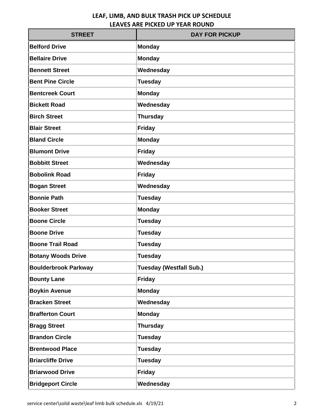| <b>STREET</b>               | <b>DAY FOR PICKUP</b>          |
|-----------------------------|--------------------------------|
| <b>Belford Drive</b>        | <b>Monday</b>                  |
| <b>Bellaire Drive</b>       | <b>Monday</b>                  |
| <b>Bennett Street</b>       | Wednesday                      |
| <b>Bent Pine Circle</b>     | <b>Tuesday</b>                 |
| <b>Bentcreek Court</b>      | <b>Monday</b>                  |
| <b>Bickett Road</b>         | Wednesday                      |
| <b>Birch Street</b>         | <b>Thursday</b>                |
| <b>Blair Street</b>         | <b>Friday</b>                  |
| <b>Bland Circle</b>         | <b>Monday</b>                  |
| <b>Blumont Drive</b>        | <b>Friday</b>                  |
| <b>Bobbitt Street</b>       | Wednesday                      |
| <b>Bobolink Road</b>        | <b>Friday</b>                  |
| <b>Bogan Street</b>         | Wednesday                      |
| <b>Bonnie Path</b>          | <b>Tuesday</b>                 |
| <b>Booker Street</b>        | <b>Monday</b>                  |
| <b>Boone Circle</b>         | <b>Tuesday</b>                 |
| <b>Boone Drive</b>          | <b>Tuesday</b>                 |
| <b>Boone Trail Road</b>     | <b>Tuesday</b>                 |
| <b>Botany Woods Drive</b>   | <b>Tuesday</b>                 |
| <b>Boulderbrook Parkway</b> | <b>Tuesday (Westfall Sub.)</b> |
| <b>Bounty Lane</b>          | <b>Friday</b>                  |
| <b>Boykin Avenue</b>        | <b>Monday</b>                  |
| <b>Bracken Street</b>       | Wednesday                      |
| <b>Brafferton Court</b>     | <b>Monday</b>                  |
| <b>Bragg Street</b>         | <b>Thursday</b>                |
| <b>Brandon Circle</b>       | <b>Tuesday</b>                 |
| <b>Brentwood Place</b>      | <b>Tuesday</b>                 |
| <b>Briarcliffe Drive</b>    | <b>Tuesday</b>                 |
| <b>Briarwood Drive</b>      | <b>Friday</b>                  |
| <b>Bridgeport Circle</b>    | Wednesday                      |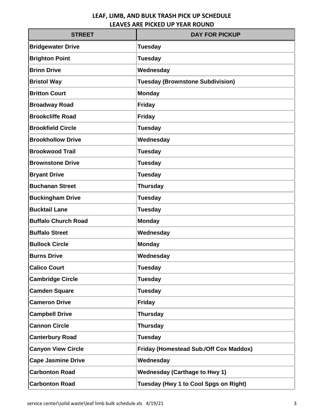| <b>STREET</b>              | <b>DAY FOR PICKUP</b>                         |
|----------------------------|-----------------------------------------------|
| <b>Bridgewater Drive</b>   | <b>Tuesday</b>                                |
| <b>Brighton Point</b>      | <b>Tuesday</b>                                |
| <b>Brinn Drive</b>         | Wednesday                                     |
| <b>Bristol Way</b>         | <b>Tuesday (Brownstone Subdivision)</b>       |
| <b>Britton Court</b>       | <b>Monday</b>                                 |
| <b>Broadway Road</b>       | <b>Friday</b>                                 |
| <b>Brookcliffe Road</b>    | <b>Friday</b>                                 |
| <b>Brookfield Circle</b>   | <b>Tuesday</b>                                |
| <b>Brookhollow Drive</b>   | Wednesday                                     |
| <b>Brookwood Trail</b>     | <b>Tuesday</b>                                |
| <b>Brownstone Drive</b>    | <b>Tuesday</b>                                |
| <b>Bryant Drive</b>        | <b>Tuesday</b>                                |
| <b>Buchanan Street</b>     | <b>Thursday</b>                               |
| <b>Buckingham Drive</b>    | <b>Tuesday</b>                                |
| <b>Bucktail Lane</b>       | <b>Tuesday</b>                                |
| <b>Buffalo Church Road</b> | <b>Monday</b>                                 |
| <b>Buffalo Street</b>      | Wednesday                                     |
| <b>Bullock Circle</b>      | <b>Monday</b>                                 |
| <b>Burns Drive</b>         | Wednesday                                     |
| <b>Calico Court</b>        | <b>Tuesday</b>                                |
| <b>Cambridge Circle</b>    | <b>Tuesday</b>                                |
| <b>Camden Square</b>       | <b>Tuesday</b>                                |
| <b>Cameron Drive</b>       | <b>Friday</b>                                 |
| <b>Campbell Drive</b>      | <b>Thursday</b>                               |
| <b>Cannon Circle</b>       | <b>Thursday</b>                               |
| <b>Canterbury Road</b>     | <b>Tuesday</b>                                |
| <b>Canyon View Circle</b>  | <b>Friday (Homestead Sub./Off Cox Maddox)</b> |
| <b>Cape Jasmine Drive</b>  | Wednesday                                     |
| <b>Carbonton Road</b>      | <b>Wednesday (Carthage to Hwy 1)</b>          |
| <b>Carbonton Road</b>      | Tuesday (Hwy 1 to Cool Spgs on Right)         |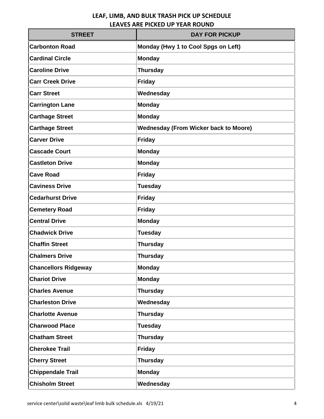| <b>STREET</b>               | <b>DAY FOR PICKUP</b>                        |
|-----------------------------|----------------------------------------------|
| <b>Carbonton Road</b>       | Monday (Hwy 1 to Cool Spgs on Left)          |
| <b>Cardinal Circle</b>      | <b>Monday</b>                                |
| <b>Caroline Drive</b>       | <b>Thursday</b>                              |
| <b>Carr Creek Drive</b>     | <b>Friday</b>                                |
| <b>Carr Street</b>          | Wednesday                                    |
| <b>Carrington Lane</b>      | <b>Monday</b>                                |
| <b>Carthage Street</b>      | <b>Monday</b>                                |
| <b>Carthage Street</b>      | <b>Wednesday (From Wicker back to Moore)</b> |
| <b>Carver Drive</b>         | <b>Friday</b>                                |
| <b>Cascade Court</b>        | <b>Monday</b>                                |
| <b>Castleton Drive</b>      | <b>Monday</b>                                |
| <b>Cave Road</b>            | <b>Friday</b>                                |
| <b>Caviness Drive</b>       | <b>Tuesday</b>                               |
| <b>Cedarhurst Drive</b>     | <b>Friday</b>                                |
| <b>Cemetery Road</b>        | <b>Friday</b>                                |
| <b>Central Drive</b>        | <b>Monday</b>                                |
| <b>Chadwick Drive</b>       | <b>Tuesday</b>                               |
| <b>Chaffin Street</b>       | <b>Thursday</b>                              |
| <b>Chalmers Drive</b>       | <b>Thursday</b>                              |
| <b>Chancellors Ridgeway</b> | <b>Monday</b>                                |
| <b>Chariot Drive</b>        | <b>Monday</b>                                |
| <b>Charles Avenue</b>       | <b>Thursday</b>                              |
| <b>Charleston Drive</b>     | Wednesday                                    |
| <b>Charlotte Avenue</b>     | <b>Thursday</b>                              |
| <b>Charwood Place</b>       | <b>Tuesday</b>                               |
| <b>Chatham Street</b>       | <b>Thursday</b>                              |
| <b>Cherokee Trail</b>       | <b>Friday</b>                                |
| <b>Cherry Street</b>        | <b>Thursday</b>                              |
| <b>Chippendale Trail</b>    | <b>Monday</b>                                |
| <b>Chisholm Street</b>      | Wednesday                                    |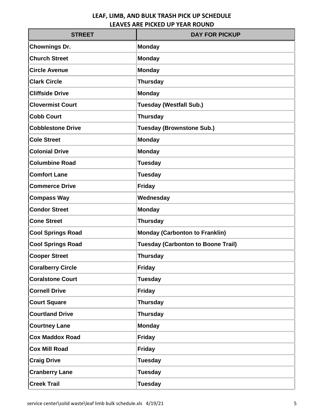| <b>STREET</b>            | <b>DAY FOR PICKUP</b>                     |
|--------------------------|-------------------------------------------|
| <b>Chownings Dr.</b>     | <b>Monday</b>                             |
| <b>Church Street</b>     | <b>Monday</b>                             |
| <b>Circle Avenue</b>     | <b>Monday</b>                             |
| <b>Clark Circle</b>      | <b>Thursday</b>                           |
| <b>Cliffside Drive</b>   | <b>Monday</b>                             |
| <b>Clovermist Court</b>  | <b>Tuesday (Westfall Sub.)</b>            |
| <b>Cobb Court</b>        | <b>Thursday</b>                           |
| <b>Cobblestone Drive</b> | <b>Tuesday (Brownstone Sub.)</b>          |
| <b>Cole Street</b>       | <b>Monday</b>                             |
| <b>Colonial Drive</b>    | <b>Monday</b>                             |
| <b>Columbine Road</b>    | <b>Tuesday</b>                            |
| <b>Comfort Lane</b>      | <b>Tuesday</b>                            |
| <b>Commerce Drive</b>    | <b>Friday</b>                             |
| <b>Compass Way</b>       | Wednesday                                 |
| <b>Condor Street</b>     | <b>Monday</b>                             |
| <b>Cone Street</b>       | <b>Thursday</b>                           |
| <b>Cool Springs Road</b> | <b>Monday (Carbonton to Franklin)</b>     |
| <b>Cool Springs Road</b> | <b>Tuesday (Carbonton to Boone Trail)</b> |
| <b>Cooper Street</b>     | <b>Thursday</b>                           |
| <b>Coralberry Circle</b> | <b>Friday</b>                             |
| <b>Coralstone Court</b>  | <b>Tuesday</b>                            |
| <b>Cornell Drive</b>     | <b>Friday</b>                             |
| <b>Court Square</b>      | <b>Thursday</b>                           |
| <b>Courtland Drive</b>   | <b>Thursday</b>                           |
| <b>Courtney Lane</b>     | <b>Monday</b>                             |
| <b>Cox Maddox Road</b>   | <b>Friday</b>                             |
| <b>Cox Mill Road</b>     | <b>Friday</b>                             |
| <b>Craig Drive</b>       | <b>Tuesday</b>                            |
| <b>Cranberry Lane</b>    | <b>Tuesday</b>                            |
| <b>Creek Trail</b>       | <b>Tuesday</b>                            |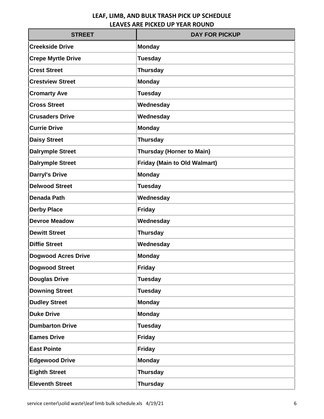| <b>STREET</b>              | <b>DAY FOR PICKUP</b>               |
|----------------------------|-------------------------------------|
| <b>Creekside Drive</b>     | <b>Monday</b>                       |
| <b>Crepe Myrtle Drive</b>  | <b>Tuesday</b>                      |
| <b>Crest Street</b>        | <b>Thursday</b>                     |
| <b>Crestview Street</b>    | <b>Monday</b>                       |
| <b>Cromarty Ave</b>        | <b>Tuesday</b>                      |
| <b>Cross Street</b>        | Wednesday                           |
| <b>Crusaders Drive</b>     | Wednesday                           |
| <b>Currie Drive</b>        | <b>Monday</b>                       |
| <b>Daisy Street</b>        | <b>Thursday</b>                     |
| <b>Dalrymple Street</b>    | <b>Thursday (Horner to Main)</b>    |
| <b>Dalrymple Street</b>    | <b>Friday (Main to Old Walmart)</b> |
| <b>Darryl's Drive</b>      | <b>Monday</b>                       |
| <b>Delwood Street</b>      | <b>Tuesday</b>                      |
| <b>Denada Path</b>         | Wednesday                           |
| <b>Derby Place</b>         | <b>Friday</b>                       |
| <b>Devroe Meadow</b>       | Wednesday                           |
| <b>Dewitt Street</b>       | <b>Thursday</b>                     |
| <b>Diffie Street</b>       | Wednesday                           |
| <b>Dogwood Acres Drive</b> | <b>Monday</b>                       |
| <b>Dogwood Street</b>      | <b>Friday</b>                       |
| <b>Douglas Drive</b>       | <b>Tuesday</b>                      |
| <b>Downing Street</b>      | <b>Tuesday</b>                      |
| <b>Dudley Street</b>       | <b>Monday</b>                       |
| <b>Duke Drive</b>          | <b>Monday</b>                       |
| <b>Dumbarton Drive</b>     | <b>Tuesday</b>                      |
| <b>Eames Drive</b>         | <b>Friday</b>                       |
| <b>East Pointe</b>         | <b>Friday</b>                       |
| <b>Edgewood Drive</b>      | <b>Monday</b>                       |
| <b>Eighth Street</b>       | <b>Thursday</b>                     |
| <b>Eleventh Street</b>     | <b>Thursday</b>                     |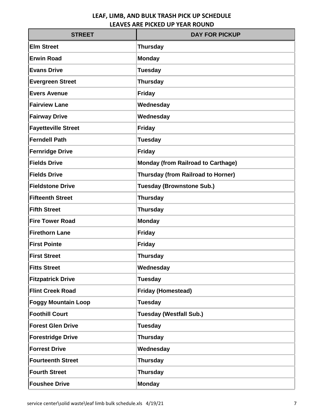| <b>STREET</b>              | <b>DAY FOR PICKUP</b>                     |
|----------------------------|-------------------------------------------|
| <b>Elm Street</b>          | <b>Thursday</b>                           |
| <b>Erwin Road</b>          | <b>Monday</b>                             |
| <b>Evans Drive</b>         | <b>Tuesday</b>                            |
| <b>Evergreen Street</b>    | <b>Thursday</b>                           |
| <b>Evers Avenue</b>        | <b>Friday</b>                             |
| <b>Fairview Lane</b>       | Wednesday                                 |
| <b>Fairway Drive</b>       | Wednesday                                 |
| <b>Fayetteville Street</b> | <b>Friday</b>                             |
| <b>Ferndell Path</b>       | <b>Tuesday</b>                            |
| <b>Fernridge Drive</b>     | <b>Friday</b>                             |
| <b>Fields Drive</b>        | <b>Monday (from Railroad to Carthage)</b> |
| <b>Fields Drive</b>        | <b>Thursday (from Railroad to Horner)</b> |
| <b>Fieldstone Drive</b>    | <b>Tuesday (Brownstone Sub.)</b>          |
| <b>Fifteenth Street</b>    | <b>Thursday</b>                           |
| <b>Fifth Street</b>        | <b>Thursday</b>                           |
| <b>Fire Tower Road</b>     | <b>Monday</b>                             |
| <b>Firethorn Lane</b>      | <b>Friday</b>                             |
| <b>First Pointe</b>        | <b>Friday</b>                             |
| <b>First Street</b>        | <b>Thursday</b>                           |
| <b>Fitts Street</b>        | Wednesday                                 |
| <b>Fitzpatrick Drive</b>   | <b>Tuesday</b>                            |
| <b>Flint Creek Road</b>    | <b>Friday (Homestead)</b>                 |
| <b>Foggy Mountain Loop</b> | <b>Tuesday</b>                            |
| <b>Foothill Court</b>      | <b>Tuesday (Westfall Sub.)</b>            |
| <b>Forest Glen Drive</b>   | <b>Tuesday</b>                            |
| <b>Forestridge Drive</b>   | <b>Thursday</b>                           |
| <b>Forrest Drive</b>       | Wednesday                                 |
| <b>Fourteenth Street</b>   | <b>Thursday</b>                           |
| <b>Fourth Street</b>       | <b>Thursday</b>                           |
| <b>Foushee Drive</b>       | <b>Monday</b>                             |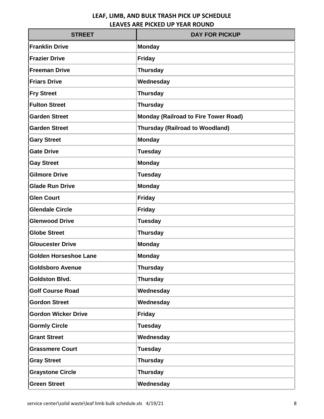| <b>STREET</b>                | <b>DAY FOR PICKUP</b>                       |
|------------------------------|---------------------------------------------|
| <b>Franklin Drive</b>        | <b>Monday</b>                               |
| <b>Frazier Drive</b>         | <b>Friday</b>                               |
| <b>Freeman Drive</b>         | <b>Thursday</b>                             |
| <b>Friars Drive</b>          | Wednesday                                   |
| <b>Fry Street</b>            | <b>Thursday</b>                             |
| <b>Fulton Street</b>         | <b>Thursday</b>                             |
| <b>Garden Street</b>         | <b>Monday (Railroad to Fire Tower Road)</b> |
| <b>Garden Street</b>         | <b>Thursday (Railroad to Woodland)</b>      |
| <b>Gary Street</b>           | <b>Monday</b>                               |
| <b>Gate Drive</b>            | <b>Tuesday</b>                              |
| <b>Gay Street</b>            | <b>Monday</b>                               |
| <b>Gilmore Drive</b>         | <b>Tuesday</b>                              |
| <b>Glade Run Drive</b>       | <b>Monday</b>                               |
| <b>Glen Court</b>            | <b>Friday</b>                               |
| <b>Glendale Circle</b>       | <b>Friday</b>                               |
| <b>Glenwood Drive</b>        | <b>Tuesday</b>                              |
| <b>Globe Street</b>          | <b>Thursday</b>                             |
| <b>Gloucester Drive</b>      | <b>Monday</b>                               |
| <b>Golden Horseshoe Lane</b> | <b>Monday</b>                               |
| <b>Goldsboro Avenue</b>      | <b>Thursday</b>                             |
| <b>Goldston Blvd.</b>        | <b>Thursday</b>                             |
| <b>Golf Course Road</b>      | Wednesday                                   |
| <b>Gordon Street</b>         | Wednesday                                   |
| <b>Gordon Wicker Drive</b>   | <b>Friday</b>                               |
| <b>Gormly Circle</b>         | <b>Tuesday</b>                              |
| <b>Grant Street</b>          | Wednesday                                   |
| <b>Grassmere Court</b>       | <b>Tuesday</b>                              |
| <b>Gray Street</b>           | <b>Thursday</b>                             |
| <b>Graystone Circle</b>      | <b>Thursday</b>                             |
| <b>Green Street</b>          | Wednesday                                   |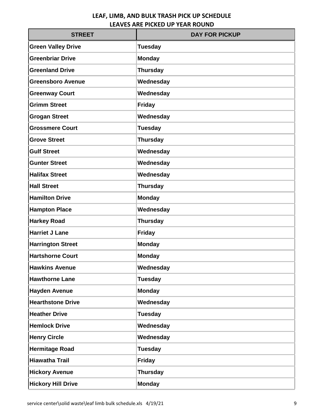| <b>STREET</b>             | <b>DAY FOR PICKUP</b> |
|---------------------------|-----------------------|
| <b>Green Valley Drive</b> | <b>Tuesday</b>        |
| <b>Greenbriar Drive</b>   | <b>Monday</b>         |
| <b>Greenland Drive</b>    | <b>Thursday</b>       |
| <b>Greensboro Avenue</b>  | Wednesday             |
| <b>Greenway Court</b>     | Wednesday             |
| <b>Grimm Street</b>       | <b>Friday</b>         |
| <b>Grogan Street</b>      | Wednesday             |
| <b>Grossmere Court</b>    | <b>Tuesday</b>        |
| <b>Grove Street</b>       | <b>Thursday</b>       |
| <b>Gulf Street</b>        | Wednesday             |
| <b>Gunter Street</b>      | Wednesday             |
| <b>Halifax Street</b>     | Wednesday             |
| <b>Hall Street</b>        | <b>Thursday</b>       |
| <b>Hamilton Drive</b>     | <b>Monday</b>         |
| <b>Hampton Place</b>      | Wednesday             |
| <b>Harkey Road</b>        | <b>Thursday</b>       |
| <b>Harriet J Lane</b>     | <b>Friday</b>         |
| <b>Harrington Street</b>  | <b>Monday</b>         |
| <b>Hartshorne Court</b>   | <b>Monday</b>         |
| <b>Hawkins Avenue</b>     | Wednesday             |
| <b>Hawthorne Lane</b>     | <b>Tuesday</b>        |
| <b>Hayden Avenue</b>      | <b>Monday</b>         |
| <b>Hearthstone Drive</b>  | Wednesday             |
| <b>Heather Drive</b>      | <b>Tuesday</b>        |
| <b>Hemlock Drive</b>      | Wednesday             |
| <b>Henry Circle</b>       | Wednesday             |
| <b>Hermitage Road</b>     | <b>Tuesday</b>        |
| <b>Hiawatha Trail</b>     | <b>Friday</b>         |
| <b>Hickory Avenue</b>     | <b>Thursday</b>       |
| <b>Hickory Hill Drive</b> | <b>Monday</b>         |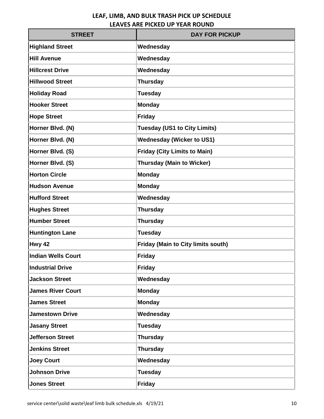| <b>STREET</b>             | <b>DAY FOR PICKUP</b>                     |
|---------------------------|-------------------------------------------|
| <b>Highland Street</b>    | Wednesday                                 |
| <b>Hill Avenue</b>        | Wednesday                                 |
| <b>Hillcrest Drive</b>    | Wednesday                                 |
| <b>Hillwood Street</b>    | <b>Thursday</b>                           |
| <b>Holiday Road</b>       | <b>Tuesday</b>                            |
| <b>Hooker Street</b>      | <b>Monday</b>                             |
| <b>Hope Street</b>        | <b>Friday</b>                             |
| Horner Blvd. (N)          | <b>Tuesday (US1 to City Limits)</b>       |
| Horner Blvd. (N)          | <b>Wednesday (Wicker to US1)</b>          |
| Horner Blvd. (S)          | <b>Friday (City Limits to Main)</b>       |
| Horner Blvd. (S)          | <b>Thursday (Main to Wicker)</b>          |
| <b>Horton Circle</b>      | <b>Monday</b>                             |
| <b>Hudson Avenue</b>      | <b>Monday</b>                             |
| <b>Hufford Street</b>     | Wednesday                                 |
| <b>Hughes Street</b>      | <b>Thursday</b>                           |
| <b>Humber Street</b>      | <b>Thursday</b>                           |
| <b>Huntington Lane</b>    | <b>Tuesday</b>                            |
| Hwy 42                    | <b>Friday (Main to City limits south)</b> |
| <b>Indian Wells Court</b> | <b>Friday</b>                             |
| <b>Industrial Drive</b>   | <b>Friday</b>                             |
| <b>Jackson Street</b>     | Wednesday                                 |
| <b>James River Court</b>  | <b>Monday</b>                             |
| <b>James Street</b>       | <b>Monday</b>                             |
| <b>Jamestown Drive</b>    | Wednesday                                 |
| <b>Jasany Street</b>      | <b>Tuesday</b>                            |
| <b>Jefferson Street</b>   | <b>Thursday</b>                           |
| <b>Jenkins Street</b>     | <b>Thursday</b>                           |
| <b>Joey Court</b>         | Wednesday                                 |
| <b>Johnson Drive</b>      | <b>Tuesday</b>                            |
| <b>Jones Street</b>       | <b>Friday</b>                             |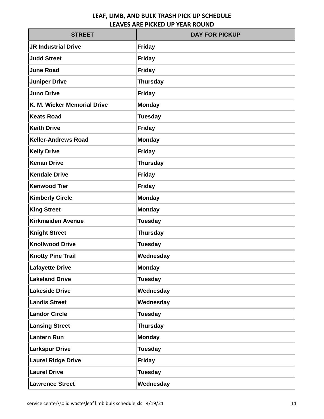| <b>STREET</b>               | <b>DAY FOR PICKUP</b> |
|-----------------------------|-----------------------|
| <b>JR Industrial Drive</b>  | <b>Friday</b>         |
| <b>Judd Street</b>          | <b>Friday</b>         |
| <b>June Road</b>            | <b>Friday</b>         |
| <b>Juniper Drive</b>        | <b>Thursday</b>       |
| <b>Juno Drive</b>           | <b>Friday</b>         |
| K. M. Wicker Memorial Drive | <b>Monday</b>         |
| <b>Keats Road</b>           | <b>Tuesday</b>        |
| <b>Keith Drive</b>          | <b>Friday</b>         |
| <b>Keller-Andrews Road</b>  | <b>Monday</b>         |
| <b>Kelly Drive</b>          | <b>Friday</b>         |
| <b>Kenan Drive</b>          | <b>Thursday</b>       |
| <b>Kendale Drive</b>        | <b>Friday</b>         |
| <b>Kenwood Tier</b>         | Friday                |
| <b>Kimberly Circle</b>      | <b>Monday</b>         |
| <b>King Street</b>          | <b>Monday</b>         |
| <b>Kirkmaiden Avenue</b>    | <b>Tuesday</b>        |
| <b>Knight Street</b>        | <b>Thursday</b>       |
| <b>Knollwood Drive</b>      | <b>Tuesday</b>        |
| <b>Knotty Pine Trail</b>    | Wednesday             |
| <b>Lafayette Drive</b>      | <b>Monday</b>         |
| <b>Lakeland Drive</b>       | <b>Tuesday</b>        |
| <b>Lakeside Drive</b>       | Wednesday             |
| <b>Landis Street</b>        | Wednesday             |
| <b>Landor Circle</b>        | <b>Tuesday</b>        |
| <b>Lansing Street</b>       | <b>Thursday</b>       |
| <b>Lantern Run</b>          | <b>Monday</b>         |
| <b>Larkspur Drive</b>       | <b>Tuesday</b>        |
| <b>Laurel Ridge Drive</b>   | <b>Friday</b>         |
| <b>Laurel Drive</b>         | <b>Tuesday</b>        |
| <b>Lawrence Street</b>      | Wednesday             |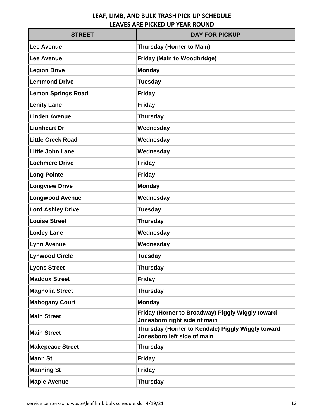| <b>STREET</b>             | <b>DAY FOR PICKUP</b>                                                            |
|---------------------------|----------------------------------------------------------------------------------|
| Lee Avenue                | <b>Thursday (Horner to Main)</b>                                                 |
| <b>Lee Avenue</b>         | <b>Friday (Main to Woodbridge)</b>                                               |
| <b>Legion Drive</b>       | <b>Monday</b>                                                                    |
| <b>Lemmond Drive</b>      | <b>Tuesday</b>                                                                   |
| <b>Lemon Springs Road</b> | <b>Friday</b>                                                                    |
| <b>Lenity Lane</b>        | <b>Friday</b>                                                                    |
| <b>Linden Avenue</b>      | <b>Thursday</b>                                                                  |
| <b>Lionheart Dr</b>       | Wednesday                                                                        |
| <b>Little Creek Road</b>  | Wednesday                                                                        |
| <b>Little John Lane</b>   | Wednesday                                                                        |
| <b>Lochmere Drive</b>     | <b>Friday</b>                                                                    |
| <b>Long Pointe</b>        | <b>Friday</b>                                                                    |
| <b>Longview Drive</b>     | <b>Monday</b>                                                                    |
| <b>Longwood Avenue</b>    | Wednesday                                                                        |
| <b>Lord Ashley Drive</b>  | <b>Tuesday</b>                                                                   |
| <b>Louise Street</b>      | <b>Thursday</b>                                                                  |
| <b>Loxley Lane</b>        | Wednesday                                                                        |
| <b>Lynn Avenue</b>        | Wednesday                                                                        |
| <b>Lynwood Circle</b>     | <b>Tuesday</b>                                                                   |
| <b>Lyons Street</b>       | <b>Thursday</b>                                                                  |
| <b>Maddox Street</b>      | <b>Friday</b>                                                                    |
| <b>Magnolia Street</b>    | <b>Thursday</b>                                                                  |
| <b>Mahogany Court</b>     | <b>Monday</b>                                                                    |
| <b>Main Street</b>        | Friday (Horner to Broadway) Piggly Wiggly toward<br>Jonesboro right side of main |
| <b>Main Street</b>        | Thursday (Horner to Kendale) Piggly Wiggly toward<br>Jonesboro left side of main |
| <b>Makepeace Street</b>   | <b>Thursday</b>                                                                  |
| <b>Mann St</b>            | <b>Friday</b>                                                                    |
| <b>Manning St</b>         | <b>Friday</b>                                                                    |
| <b>Maple Avenue</b>       | <b>Thursday</b>                                                                  |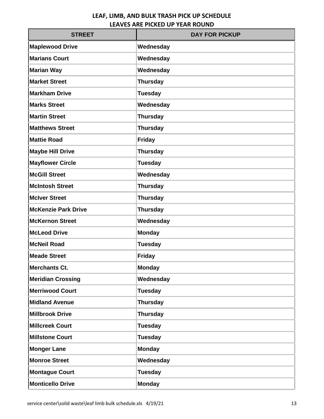| <b>STREET</b>              | <b>DAY FOR PICKUP</b> |
|----------------------------|-----------------------|
| <b>Maplewood Drive</b>     | Wednesday             |
| <b>Marians Court</b>       | Wednesday             |
| <b>Marian Way</b>          | Wednesday             |
| <b>Market Street</b>       | <b>Thursday</b>       |
| <b>Markham Drive</b>       | <b>Tuesday</b>        |
| <b>Marks Street</b>        | Wednesday             |
| <b>Martin Street</b>       | <b>Thursday</b>       |
| <b>Matthews Street</b>     | <b>Thursday</b>       |
| <b>Mattie Road</b>         | <b>Friday</b>         |
| <b>Maybe Hill Drive</b>    | <b>Thursday</b>       |
| <b>Mayflower Circle</b>    | <b>Tuesday</b>        |
| <b>McGill Street</b>       | Wednesday             |
| <b>McIntosh Street</b>     | <b>Thursday</b>       |
| <b>McIver Street</b>       | <b>Thursday</b>       |
| <b>McKenzie Park Drive</b> | <b>Thursday</b>       |
| <b>McKernon Street</b>     | Wednesday             |
| <b>McLeod Drive</b>        | <b>Monday</b>         |
| McNeil Road                | <b>Tuesday</b>        |
| <b>Meade Street</b>        | <b>Friday</b>         |
| <b>Merchants Ct.</b>       | <b>Monday</b>         |
| <b>Meridian Crossing</b>   | Wednesday             |
| <b>Merriwood Court</b>     | <b>Tuesday</b>        |
| <b>Midland Avenue</b>      | <b>Thursday</b>       |
| <b>Millbrook Drive</b>     | <b>Thursday</b>       |
| <b>Millcreek Court</b>     | <b>Tuesday</b>        |
| <b>Millstone Court</b>     | <b>Tuesday</b>        |
| <b>Monger Lane</b>         | <b>Monday</b>         |
| <b>Monroe Street</b>       | Wednesday             |
| <b>Montague Court</b>      | <b>Tuesday</b>        |
| <b>Monticello Drive</b>    | <b>Monday</b>         |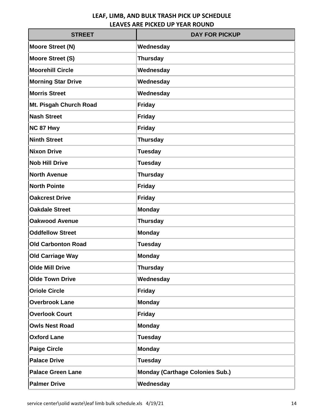| <b>STREET</b>             | <b>DAY FOR PICKUP</b>                  |
|---------------------------|----------------------------------------|
| <b>Moore Street (N)</b>   | Wednesday                              |
| <b>Moore Street (S)</b>   | <b>Thursday</b>                        |
| <b>Moorehill Circle</b>   | Wednesday                              |
| <b>Morning Star Drive</b> | Wednesday                              |
| <b>Morris Street</b>      | Wednesday                              |
| Mt. Pisgah Church Road    | <b>Friday</b>                          |
| <b>Nash Street</b>        | <b>Friday</b>                          |
| NC 87 Hwy                 | <b>Friday</b>                          |
| <b>Ninth Street</b>       | <b>Thursday</b>                        |
| <b>Nixon Drive</b>        | <b>Tuesday</b>                         |
| <b>Nob Hill Drive</b>     | <b>Tuesday</b>                         |
| <b>North Avenue</b>       | <b>Thursday</b>                        |
| <b>North Pointe</b>       | <b>Friday</b>                          |
| <b>Oakcrest Drive</b>     | <b>Friday</b>                          |
| <b>Oakdale Street</b>     | <b>Monday</b>                          |
| <b>Oakwood Avenue</b>     | <b>Thursday</b>                        |
| <b>Oddfellow Street</b>   | <b>Monday</b>                          |
| <b>Old Carbonton Road</b> | <b>Tuesday</b>                         |
| <b>Old Carriage Way</b>   | <b>Monday</b>                          |
| <b>Olde Mill Drive</b>    | <b>Thursday</b>                        |
| <b>Olde Town Drive</b>    | Wednesday                              |
| <b>Oriole Circle</b>      | <b>Friday</b>                          |
| <b>Overbrook Lane</b>     | <b>Monday</b>                          |
| <b>Overlook Court</b>     | <b>Friday</b>                          |
| <b>Owls Nest Road</b>     | <b>Monday</b>                          |
| <b>Oxford Lane</b>        | <b>Tuesday</b>                         |
| <b>Paige Circle</b>       | <b>Monday</b>                          |
| <b>Palace Drive</b>       | <b>Tuesday</b>                         |
| <b>Palace Green Lane</b>  | <b>Monday (Carthage Colonies Sub.)</b> |
| <b>Palmer Drive</b>       | Wednesday                              |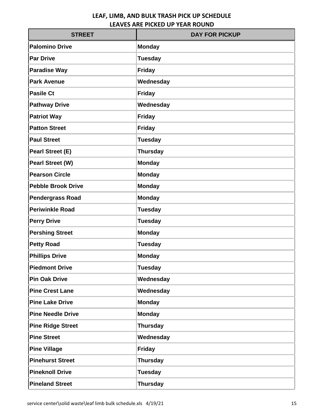| <b>STREET</b>             | <b>DAY FOR PICKUP</b> |
|---------------------------|-----------------------|
| <b>Palomino Drive</b>     | <b>Monday</b>         |
| <b>Par Drive</b>          | <b>Tuesday</b>        |
| <b>Paradise Way</b>       | <b>Friday</b>         |
| <b>Park Avenue</b>        | Wednesday             |
| <b>Pasile Ct</b>          | <b>Friday</b>         |
| <b>Pathway Drive</b>      | Wednesday             |
| <b>Patriot Way</b>        | <b>Friday</b>         |
| <b>Patton Street</b>      | <b>Friday</b>         |
| <b>Paul Street</b>        | <b>Tuesday</b>        |
| <b>Pearl Street (E)</b>   | <b>Thursday</b>       |
| <b>Pearl Street (W)</b>   | <b>Monday</b>         |
| <b>Pearson Circle</b>     | <b>Monday</b>         |
| <b>Pebble Brook Drive</b> | <b>Monday</b>         |
| <b>Pendergrass Road</b>   | <b>Monday</b>         |
| <b>Periwinkle Road</b>    | <b>Tuesday</b>        |
| <b>Perry Drive</b>        | <b>Tuesday</b>        |
| <b>Pershing Street</b>    | <b>Monday</b>         |
| <b>Petty Road</b>         | <b>Tuesday</b>        |
| <b>Phillips Drive</b>     | <b>Monday</b>         |
| <b>Piedmont Drive</b>     | <b>Tuesday</b>        |
| <b>Pin Oak Drive</b>      | Wednesday             |
| <b>Pine Crest Lane</b>    | Wednesday             |
| <b>Pine Lake Drive</b>    | <b>Monday</b>         |
| <b>Pine Needle Drive</b>  | Monday                |
| <b>Pine Ridge Street</b>  | <b>Thursday</b>       |
| <b>Pine Street</b>        | Wednesday             |
| <b>Pine Village</b>       | <b>Friday</b>         |
| <b>Pinehurst Street</b>   | <b>Thursday</b>       |
| <b>Pineknoll Drive</b>    | <b>Tuesday</b>        |
| <b>Pineland Street</b>    | <b>Thursday</b>       |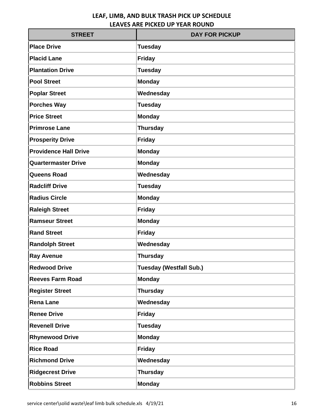| <b>STREET</b>                | <b>DAY FOR PICKUP</b>          |
|------------------------------|--------------------------------|
| <b>Place Drive</b>           | <b>Tuesday</b>                 |
| <b>Placid Lane</b>           | <b>Friday</b>                  |
| <b>Plantation Drive</b>      | <b>Tuesday</b>                 |
| <b>Pool Street</b>           | <b>Monday</b>                  |
| <b>Poplar Street</b>         | Wednesday                      |
| <b>Porches Way</b>           | <b>Tuesday</b>                 |
| <b>Price Street</b>          | <b>Monday</b>                  |
| <b>Primrose Lane</b>         | <b>Thursday</b>                |
| <b>Prosperity Drive</b>      | <b>Friday</b>                  |
| <b>Providence Hall Drive</b> | <b>Monday</b>                  |
| <b>Quartermaster Drive</b>   | <b>Monday</b>                  |
| <b>Queens Road</b>           | Wednesday                      |
| <b>Radcliff Drive</b>        | <b>Tuesday</b>                 |
| <b>Radius Circle</b>         | <b>Monday</b>                  |
| <b>Raleigh Street</b>        | <b>Friday</b>                  |
| <b>Ramseur Street</b>        | <b>Monday</b>                  |
| <b>Rand Street</b>           | <b>Friday</b>                  |
| <b>Randolph Street</b>       | Wednesday                      |
| <b>Ray Avenue</b>            | <b>Thursday</b>                |
| <b>Redwood Drive</b>         | <b>Tuesday (Westfall Sub.)</b> |
| <b>Reeves Farm Road</b>      | <b>Monday</b>                  |
| <b>Register Street</b>       | <b>Thursday</b>                |
| <b>Rena Lane</b>             | Wednesday                      |
| <b>Renee Drive</b>           | <b>Friday</b>                  |
| <b>Revenell Drive</b>        | <b>Tuesday</b>                 |
| <b>Rhynewood Drive</b>       | <b>Monday</b>                  |
| <b>Rice Road</b>             | <b>Friday</b>                  |
| <b>Richmond Drive</b>        | Wednesday                      |
| <b>Ridgecrest Drive</b>      | <b>Thursday</b>                |
| <b>Robbins Street</b>        | <b>Monday</b>                  |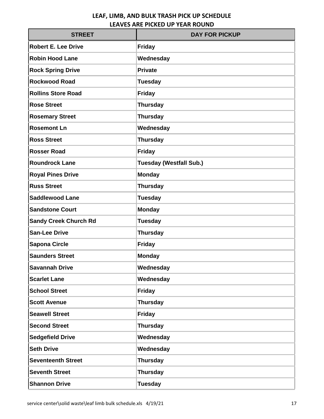| <b>STREET</b>                | <b>DAY FOR PICKUP</b>          |
|------------------------------|--------------------------------|
| <b>Robert E. Lee Drive</b>   | <b>Friday</b>                  |
| <b>Robin Hood Lane</b>       | Wednesday                      |
| <b>Rock Spring Drive</b>     | <b>Private</b>                 |
| <b>Rockwood Road</b>         | <b>Tuesday</b>                 |
| <b>Rollins Store Road</b>    | <b>Friday</b>                  |
| <b>Rose Street</b>           | <b>Thursday</b>                |
| <b>Rosemary Street</b>       | <b>Thursday</b>                |
| <b>Rosemont Ln</b>           | Wednesday                      |
| <b>Ross Street</b>           | <b>Thursday</b>                |
| <b>Rosser Road</b>           | <b>Friday</b>                  |
| <b>Roundrock Lane</b>        | <b>Tuesday (Westfall Sub.)</b> |
| <b>Royal Pines Drive</b>     | <b>Monday</b>                  |
| <b>Russ Street</b>           | <b>Thursday</b>                |
| <b>Saddlewood Lane</b>       | <b>Tuesday</b>                 |
| <b>Sandstone Court</b>       | <b>Monday</b>                  |
| <b>Sandy Creek Church Rd</b> | <b>Tuesday</b>                 |
| <b>San-Lee Drive</b>         | <b>Thursday</b>                |
| <b>Sapona Circle</b>         | <b>Friday</b>                  |
| <b>Saunders Street</b>       | <b>Monday</b>                  |
| <b>Savannah Drive</b>        | Wednesday                      |
| <b>Scarlet Lane</b>          | Wednesday                      |
| <b>School Street</b>         | <b>Friday</b>                  |
| <b>Scott Avenue</b>          | <b>Thursday</b>                |
| <b>Seawell Street</b>        | <b>Friday</b>                  |
| <b>Second Street</b>         | <b>Thursday</b>                |
| <b>Sedgefield Drive</b>      | Wednesday                      |
| <b>Seth Drive</b>            | Wednesday                      |
| <b>Seventeenth Street</b>    | <b>Thursday</b>                |
| <b>Seventh Street</b>        | <b>Thursday</b>                |
| <b>Shannon Drive</b>         | <b>Tuesday</b>                 |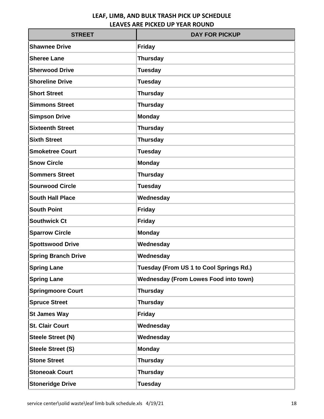| <b>STREET</b>              | <b>DAY FOR PICKUP</b>                        |
|----------------------------|----------------------------------------------|
| <b>Shawnee Drive</b>       | <b>Friday</b>                                |
| <b>Sheree Lane</b>         | <b>Thursday</b>                              |
| <b>Sherwood Drive</b>      | <b>Tuesday</b>                               |
| <b>Shoreline Drive</b>     | <b>Tuesday</b>                               |
| <b>Short Street</b>        | <b>Thursday</b>                              |
| <b>Simmons Street</b>      | <b>Thursday</b>                              |
| <b>Simpson Drive</b>       | <b>Monday</b>                                |
| <b>Sixteenth Street</b>    | <b>Thursday</b>                              |
| <b>Sixth Street</b>        | <b>Thursday</b>                              |
| <b>Smoketree Court</b>     | <b>Tuesday</b>                               |
| <b>Snow Circle</b>         | <b>Monday</b>                                |
| <b>Sommers Street</b>      | <b>Thursday</b>                              |
| <b>Sourwood Circle</b>     | <b>Tuesday</b>                               |
| <b>South Hall Place</b>    | Wednesday                                    |
| <b>South Point</b>         | <b>Friday</b>                                |
| <b>Southwick Ct</b>        | <b>Friday</b>                                |
| <b>Sparrow Circle</b>      | <b>Monday</b>                                |
| <b>Spottswood Drive</b>    | Wednesday                                    |
| <b>Spring Branch Drive</b> | Wednesday                                    |
| <b>Spring Lane</b>         | Tuesday (From US 1 to Cool Springs Rd.)      |
| <b>Spring Lane</b>         | <b>Wednesday (From Lowes Food into town)</b> |
| <b>Springmoore Court</b>   | <b>Thursday</b>                              |
| <b>Spruce Street</b>       | <b>Thursday</b>                              |
| <b>St James Way</b>        | <b>Friday</b>                                |
| <b>St. Clair Court</b>     | Wednesday                                    |
| <b>Steele Street (N)</b>   | Wednesday                                    |
| <b>Steele Street (S)</b>   | <b>Monday</b>                                |
| <b>Stone Street</b>        | <b>Thursday</b>                              |
| <b>Stoneoak Court</b>      | <b>Thursday</b>                              |
| <b>Stoneridge Drive</b>    | <b>Tuesday</b>                               |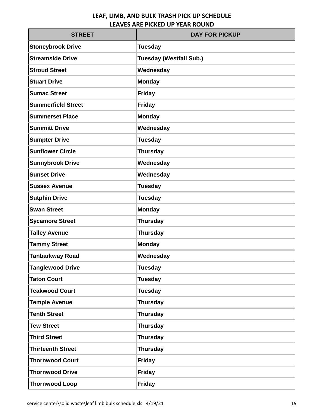| <b>STREET</b>             | <b>DAY FOR PICKUP</b>          |
|---------------------------|--------------------------------|
| <b>Stoneybrook Drive</b>  | <b>Tuesday</b>                 |
| <b>Streamside Drive</b>   | <b>Tuesday (Westfall Sub.)</b> |
| <b>Stroud Street</b>      | Wednesday                      |
| <b>Stuart Drive</b>       | <b>Monday</b>                  |
| <b>Sumac Street</b>       | <b>Friday</b>                  |
| <b>Summerfield Street</b> | <b>Friday</b>                  |
| <b>Summerset Place</b>    | <b>Monday</b>                  |
| <b>Summitt Drive</b>      | Wednesday                      |
| <b>Sumpter Drive</b>      | <b>Tuesday</b>                 |
| <b>Sunflower Circle</b>   | <b>Thursday</b>                |
| <b>Sunnybrook Drive</b>   | Wednesday                      |
| <b>Sunset Drive</b>       | Wednesday                      |
| <b>Sussex Avenue</b>      | <b>Tuesday</b>                 |
| <b>Sutphin Drive</b>      | <b>Tuesday</b>                 |
| <b>Swan Street</b>        | <b>Monday</b>                  |
| <b>Sycamore Street</b>    | <b>Thursday</b>                |
| <b>Talley Avenue</b>      | <b>Thursday</b>                |
| <b>Tammy Street</b>       | <b>Monday</b>                  |
| <b>Tanbarkway Road</b>    | Wednesday                      |
| <b>Tanglewood Drive</b>   | <b>Tuesday</b>                 |
| <b>Taton Court</b>        | <b>Tuesday</b>                 |
| <b>Teakwood Court</b>     | <b>Tuesday</b>                 |
| <b>Temple Avenue</b>      | <b>Thursday</b>                |
| <b>Tenth Street</b>       | <b>Thursday</b>                |
| <b>Tew Street</b>         | <b>Thursday</b>                |
| <b>Third Street</b>       | <b>Thursday</b>                |
| <b>Thirteenth Street</b>  | <b>Thursday</b>                |
| <b>Thornwood Court</b>    | <b>Friday</b>                  |
| <b>Thornwood Drive</b>    | <b>Friday</b>                  |
| <b>Thornwood Loop</b>     | <b>Friday</b>                  |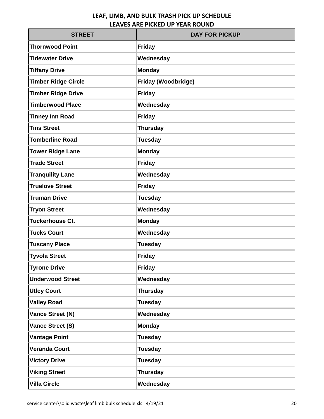| <b>STREET</b>              | <b>DAY FOR PICKUP</b> |
|----------------------------|-----------------------|
| <b>Thornwood Point</b>     | <b>Friday</b>         |
| <b>Tidewater Drive</b>     | Wednesday             |
| <b>Tiffany Drive</b>       | <b>Monday</b>         |
| <b>Timber Ridge Circle</b> | Friday (Woodbridge)   |
| <b>Timber Ridge Drive</b>  | <b>Friday</b>         |
| <b>Timberwood Place</b>    | Wednesday             |
| <b>Tinney Inn Road</b>     | <b>Friday</b>         |
| <b>Tins Street</b>         | <b>Thursday</b>       |
| <b>Tomberline Road</b>     | <b>Tuesday</b>        |
| <b>Tower Ridge Lane</b>    | <b>Monday</b>         |
| <b>Trade Street</b>        | <b>Friday</b>         |
| <b>Tranquility Lane</b>    | Wednesday             |
| <b>Truelove Street</b>     | Friday                |
| <b>Truman Drive</b>        | <b>Tuesday</b>        |
| <b>Tryon Street</b>        | Wednesday             |
| <b>Tuckerhouse Ct.</b>     | <b>Monday</b>         |
| <b>Tucks Court</b>         | Wednesday             |
| <b>Tuscany Place</b>       | <b>Tuesday</b>        |
| <b>Tyvola Street</b>       | <b>Friday</b>         |
| <b>Tyrone Drive</b>        | <b>Friday</b>         |
| <b>Underwood Street</b>    | Wednesday             |
| <b>Utley Court</b>         | <b>Thursday</b>       |
| <b>Valley Road</b>         | <b>Tuesday</b>        |
| <b>Vance Street (N)</b>    | Wednesday             |
| Vance Street (S)           | <b>Monday</b>         |
| <b>Vantage Point</b>       | <b>Tuesday</b>        |
| <b>Veranda Court</b>       | <b>Tuesday</b>        |
| <b>Victory Drive</b>       | <b>Tuesday</b>        |
| <b>Viking Street</b>       | <b>Thursday</b>       |
| <b>Villa Circle</b>        | Wednesday             |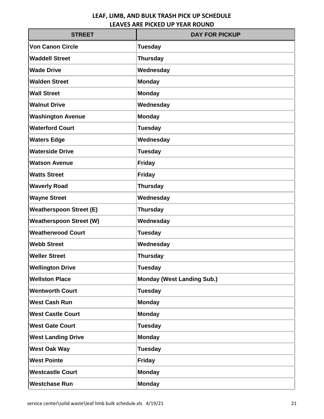| <b>STREET</b>                  | <b>DAY FOR PICKUP</b>             |
|--------------------------------|-----------------------------------|
| <b>Von Canon Circle</b>        | <b>Tuesday</b>                    |
| <b>Waddell Street</b>          | <b>Thursday</b>                   |
| <b>Wade Drive</b>              | Wednesday                         |
| <b>Walden Street</b>           | <b>Monday</b>                     |
| <b>Wall Street</b>             | <b>Monday</b>                     |
| <b>Walnut Drive</b>            | Wednesday                         |
| <b>Washington Avenue</b>       | <b>Monday</b>                     |
| <b>Waterford Court</b>         | <b>Tuesday</b>                    |
| <b>Waters Edge</b>             | Wednesday                         |
| <b>Waterside Drive</b>         | <b>Tuesday</b>                    |
| <b>Watson Avenue</b>           | <b>Friday</b>                     |
| <b>Watts Street</b>            | <b>Friday</b>                     |
| <b>Waverly Road</b>            | <b>Thursday</b>                   |
| <b>Wayne Street</b>            | Wednesday                         |
| <b>Weatherspoon Street (E)</b> | <b>Thursday</b>                   |
| <b>Weatherspoon Street (W)</b> | Wednesday                         |
| <b>Weatherwood Court</b>       | <b>Tuesday</b>                    |
| <b>Webb Street</b>             | Wednesday                         |
| <b>Weller Street</b>           | <b>Thursday</b>                   |
| <b>Wellington Drive</b>        | <b>Tuesday</b>                    |
| <b>Wellston Place</b>          | <b>Monday (West Landing Sub.)</b> |
| <b>Wentworth Court</b>         | <b>Tuesday</b>                    |
| <b>West Cash Run</b>           | <b>Monday</b>                     |
| <b>West Castle Court</b>       | <b>Monday</b>                     |
| <b>West Gate Court</b>         | <b>Tuesday</b>                    |
| <b>West Landing Drive</b>      | <b>Monday</b>                     |
| <b>West Oak Way</b>            | <b>Tuesday</b>                    |
| <b>West Pointe</b>             | <b>Friday</b>                     |
| <b>Westcastle Court</b>        | <b>Monday</b>                     |
| <b>Westchase Run</b>           | <b>Monday</b>                     |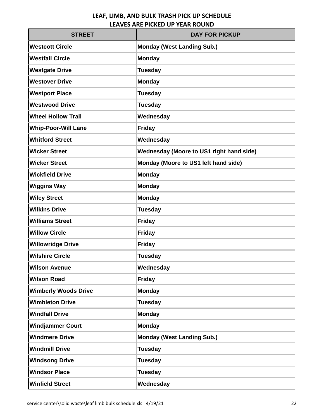| <b>STREET</b>               | <b>DAY FOR PICKUP</b>                           |
|-----------------------------|-------------------------------------------------|
| <b>Westcott Circle</b>      | <b>Monday (West Landing Sub.)</b>               |
| <b>Westfall Circle</b>      | <b>Monday</b>                                   |
| <b>Westgate Drive</b>       | <b>Tuesday</b>                                  |
| <b>Westover Drive</b>       | <b>Monday</b>                                   |
| <b>Westport Place</b>       | <b>Tuesday</b>                                  |
| <b>Westwood Drive</b>       | <b>Tuesday</b>                                  |
| <b>Wheel Hollow Trail</b>   | Wednesday                                       |
| <b>Whip-Poor-Will Lane</b>  | <b>Friday</b>                                   |
| <b>Whitford Street</b>      | Wednesday                                       |
| <b>Wicker Street</b>        | <b>Wednesday (Moore to US1 right hand side)</b> |
| <b>Wicker Street</b>        | Monday (Moore to US1 left hand side)            |
| <b>Wickfield Drive</b>      | <b>Monday</b>                                   |
| <b>Wiggins Way</b>          | <b>Monday</b>                                   |
| <b>Wiley Street</b>         | <b>Monday</b>                                   |
| <b>Wilkins Drive</b>        | <b>Tuesday</b>                                  |
| <b>Williams Street</b>      | <b>Friday</b>                                   |
| <b>Willow Circle</b>        | <b>Friday</b>                                   |
| <b>Willowridge Drive</b>    | <b>Friday</b>                                   |
| <b>Wilshire Circle</b>      | <b>Tuesday</b>                                  |
| <b>Wilson Avenue</b>        | Wednesday                                       |
| <b>Wilson Road</b>          | <b>Friday</b>                                   |
| <b>Wimberly Woods Drive</b> | <b>Monday</b>                                   |
| <b>Wimbleton Drive</b>      | <b>Tuesday</b>                                  |
| <b>Windfall Drive</b>       | <b>Monday</b>                                   |
| <b>Windjammer Court</b>     | <b>Monday</b>                                   |
| <b>Windmere Drive</b>       | <b>Monday (West Landing Sub.)</b>               |
| <b>Windmill Drive</b>       | <b>Tuesday</b>                                  |
| <b>Windsong Drive</b>       | <b>Tuesday</b>                                  |
| <b>Windsor Place</b>        | <b>Tuesday</b>                                  |
| <b>Winfield Street</b>      | Wednesday                                       |